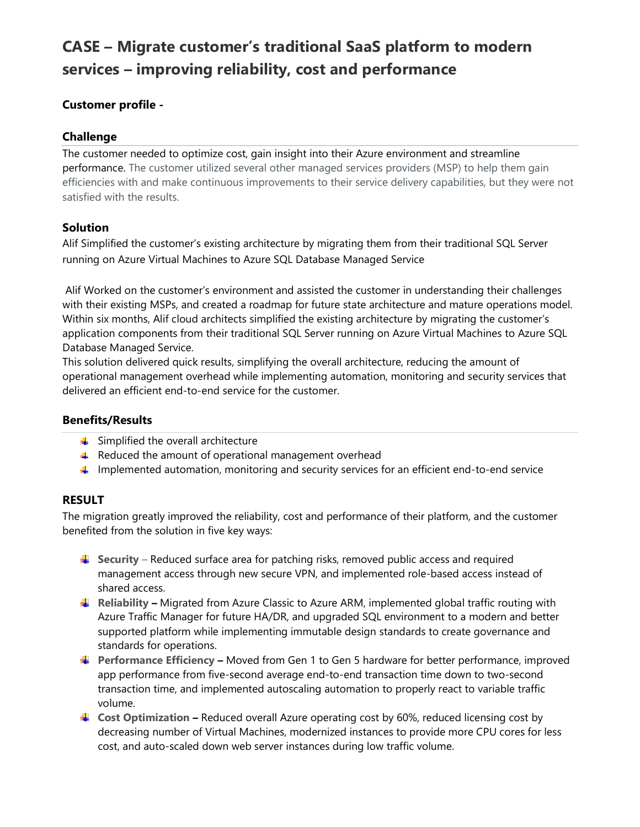# CASE – Migrate customer's traditional SaaS platform to modern services – improving reliability, cost and performance

### Customer profile -

#### Challenge

The customer needed to optimize cost, gain insight into their Azure environment and streamline performance. The customer utilized several other managed services providers (MSP) to help them gain efficiencies with and make continuous improvements to their service delivery capabilities, but they were not satisfied with the results.

#### **Solution**

Alif Simplified the customer's existing architecture by migrating them from their traditional SQL Server running on Azure Virtual Machines to Azure SQL Database Managed Service

 Alif Worked on the customer's environment and assisted the customer in understanding their challenges with their existing MSPs, and created a roadmap for future state architecture and mature operations model. Within six months, Alif cloud architects simplified the existing architecture by migrating the customer's application components from their traditional SQL Server running on Azure Virtual Machines to Azure SQL Database Managed Service.

This solution delivered quick results, simplifying the overall architecture, reducing the amount of operational management overhead while implementing automation, monitoring and security services that delivered an efficient end-to-end service for the customer.

#### Benefits/Results

- $\triangleq$  Simplified the overall architecture
- $\triangleq$  Reduced the amount of operational management overhead
- $\Box$  Implemented automation, monitoring and security services for an efficient end-to-end service

## RESULT

The migration greatly improved the reliability, cost and performance of their platform, and the customer benefited from the solution in five key ways:

- $\Box$  Security Reduced surface area for patching risks, removed public access and required management access through new secure VPN, and implemented role-based access instead of shared access.
- $\Box$  Reliability Migrated from Azure Classic to Azure ARM, implemented global traffic routing with Azure Traffic Manager for future HA/DR, and upgraded SQL environment to a modern and better supported platform while implementing immutable design standards to create governance and standards for operations.
- $\blacktriangleq$  Performance Efficiency Moved from Gen 1 to Gen 5 hardware for better performance, improved app performance from five-second average end-to-end transaction time down to two-second transaction time, and implemented autoscaling automation to properly react to variable traffic volume.
- $\triangleq$  Cost Optimization Reduced overall Azure operating cost by 60%, reduced licensing cost by decreasing number of Virtual Machines, modernized instances to provide more CPU cores for less cost, and auto-scaled down web server instances during low traffic volume.